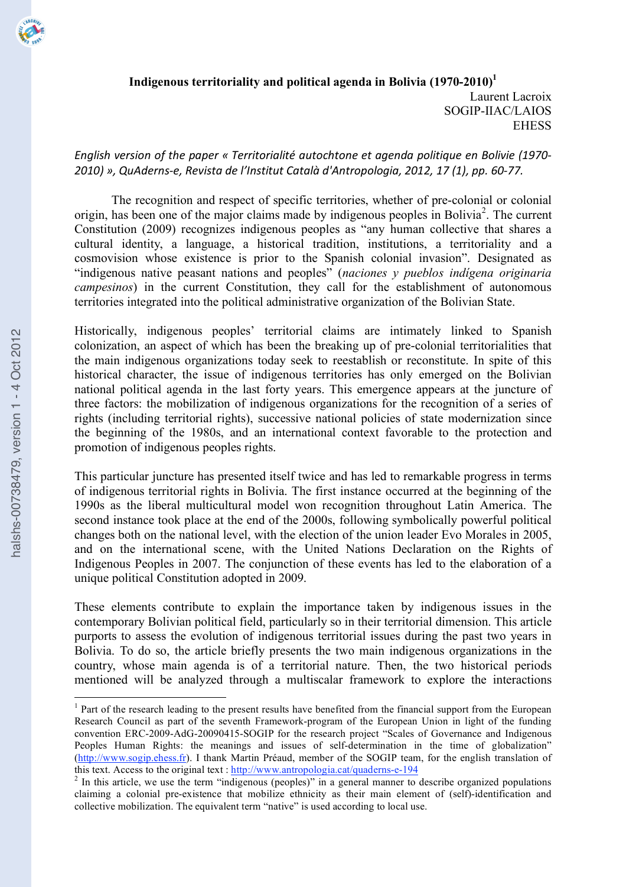

# *English version of the paper « Territorialité autochtone et agenda politique en Bolivie (1970-) ?=:=@ AB C4D6\*+"&>\*B E\*)%&.0 6\* \$FG"&.%.4. H0.0\$I 6JD".+,/,\$,#%0B ?=:?B :< 9:@B //K L=><<K*

The recognition and respect of specific territories, whether of pre-colonial or colonial origin, has been one of the major claims made by indigenous peoples in Bolivia 2 . The current Constitution (2009) recognizes indigenous peoples as "any human collective that shares a cultural identity, a language, a historical tradition, institutions, a territoriality and a cosmovision whose existence is prior to the Spanish colonial invasion". Designated as "indigenous native peasant nations and peoples" (*naciones y pueblos indígena originaria campesinos*) in the current Constitution, they call for the establishment of autonomous territories integrated into the political administrative organization of the Bolivian State.

Historically, indigenous peoples' territorial claims are intimately linked to Spanish colonization, an aspect of which has been the breaking up of pre-colonial territorialities that the main indigenous organizations today seek to reestablish or reconstitute. In spite of this historical character, the issue of indigenous territories has only emerged on the Bolivian national political agenda in the last forty years. This emergence appears at the juncture of three factors: the mobilization of indigenous organizations for the recognition of a series of rights (including territorial rights), successive national policies of state modernization since the beginning of the 1980s, and an international context favorable to the protection and promotion of indigenous peoples rights.

This particular juncture has presented itself twice and has led to remarkable progress in terms of indigenous territorial rights in Bolivia. The first instance occurred at the beginning of the 1990s as the liberal multicultural model won recognition throughout Latin America. The second instance took place at the end of the 2000s, following symbolically powerful political changes both on the national level, with the election of the union leader Evo Morales in 2005, and on the international scene, with the United Nations Declaration on the Rights of Indigenous Peoples in 2007. The conjunction of these events has led to the elaboration of a unique political Constitution adopted in 2009.

These elements contribute to explain the importance taken by indigenous issues in the contemporary Bolivian political field, particularly so in their territorial dimension. This article purports to assess the evolution of indigenous territorial issues during the past two years in Bolivia. To do so, the article briefly presents the two main indigenous organizations in the country, whose main agenda is of a territorial nature. Then, the two historical periods mentioned will be analyzed through a multiscalar framework to explore the interactions

<sup>&</sup>lt;sup>1</sup> Part of the research leading to the present results have benefited from the financial support from the European Research Council as part of the seventh Framework-program of the European Union in light of the funding convention ERC-2009-AdG-20090415-SOGIP for the research project "Scales of Governance and Indigenous Peoples Human Rights: the meanings and issues of self-determination in the time of globalization" (http://www.sogip.ehess.fr). I thank Martin Préaud, member of the SOGIP team, for the english translation of this text. Access to the original text : http://www.antropologia.cat/quaderns-e-194

 $\frac{2}{\pi}$  In this article, we use the term "indigenous (peoples)" in a general manner to describe organized populations claiming a colonial pre-existence that mobilize ethnicity as their main element of (self)-identification and collective mobilization. The equivalent term "native" is used according to local use.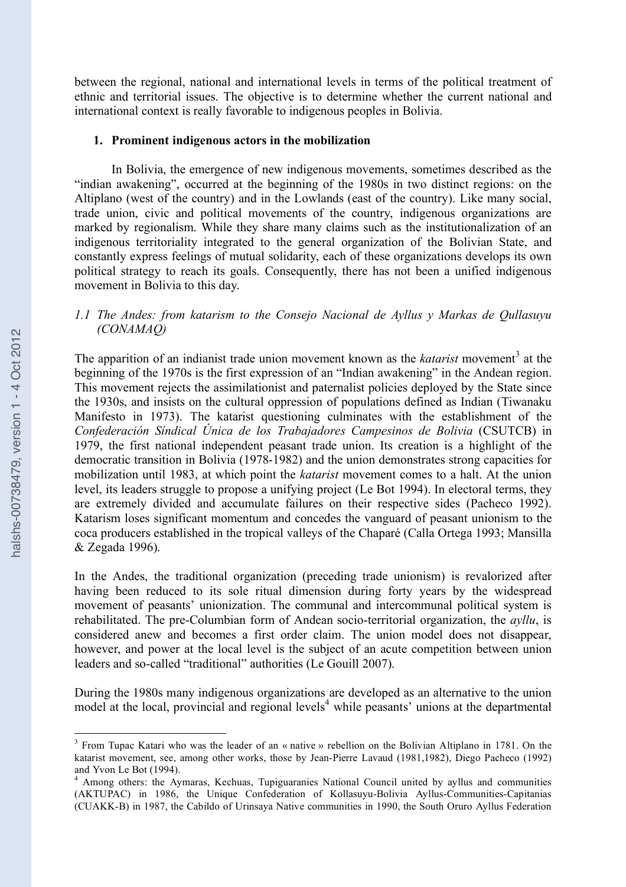between the regional, national and international levels in terms of the political treatment of ethnic and territorial issues. The objective is to determine whether the current national and international context is really favorable to indigenous peoples in Bolivia.

#### **1. Prominent indigenous actors in the mobilization**

In Bolivia, the emergence of new indigenous movements, sometimes described as the "indian awakening", occurred at the beginning of the 1980s in two distinct regions: on the Altiplano (west of the country) and in the Lowlands (east of the country). Like many social, trade union, civic and political movements of the country, indigenous organizations are marked by regionalism. While they share many claims such as the institutionalization of an indigenous territoriality integrated to the general organization of the Bolivian State, and constantly express feelings of mutual solidarity, each of these organizations develops its own political strategy to reach its goals. Consequently, there has not been a unified indigenous movement in Bolivia to this day.

## *1.1 The Andes: from katarism to the Consejo Nacional de Ayllus y Markas de Qullasuyu (CONAMAQ)*

The apparition of an indianist trade union movement known as the *katarist* movement<sup>3</sup> at the beginning of the 1970s is the first expression of an "Indian awakening" in the Andean region. This movement rejects the assimilationist and paternalist policies deployed by the State since the 1930s, and insists on the cultural oppression of populations defined as Indian (Tiwanaku Manifesto in 1973). The katarist questioning culminates with the establishment of the *Confederación Síndical Única de los Trabajadores Campesinos de Bolivia* (CSUTCB) in 1979, the first national independent peasant trade union. Its creation is a highlight of the democratic transition in Bolivia (1978-1982) and the union demonstrates strong capacities for mobilization until 1983, at which point the *katarist* movement comes to a halt. At the union level, its leaders struggle to propose a unifying project (Le Bot 1994). In electoral terms, they are extremely divided and accumulate failures on their respective sides (Pacheco 1992). Katarism loses significant momentum and concedes the vanguard of peasant unionism to the coca producers established in the tropical valleys of the Chaparé (Calla Ortega 1993; Mansilla & Zegada 1996).

In the Andes, the traditional organization (preceding trade unionism) is revalorized after having been reduced to its sole ritual dimension during forty years by the widespread movement of peasants' unionization. The communal and intercommunal political system is rehabilitated. The pre-Columbian form of Andean socio-territorial organization, the *ayllu*, is considered anew and becomes a first order claim. The union model does not disappear, however, and power at the local level is the subject of an acute competition between union leaders and so-called "traditional" authorities (Le Gouill 2007).

During the 1980s many indigenous organizations are developed as an alternative to the union model at the local, provincial and regional levels 4 while peasants' unions at the departmental

<sup>&</sup>lt;sup>3</sup> From Tupac Katari who was the leader of an « native » rebellion on the Bolivian Altiplano in 1781. On the katarist movement, see, among other works, those by Jean-Pierre Lavaud (1981,1982), Diego Pacheco (1992) and Yvon Le Bot (1994).<br><sup>4</sup> Among others: the Aymaras, Kechuas, Tupiguaranies National Council united by ayllus and communities

<sup>(</sup>AKTUPAC) in 1986, the Unique Confederation of Kollasuyu-Bolivia Ayllus-Communities-Capitanias (CUAKK-B) in 1987, the Cabildo of Urinsaya Native communities in 1990, the South Oruro Ayllus Federation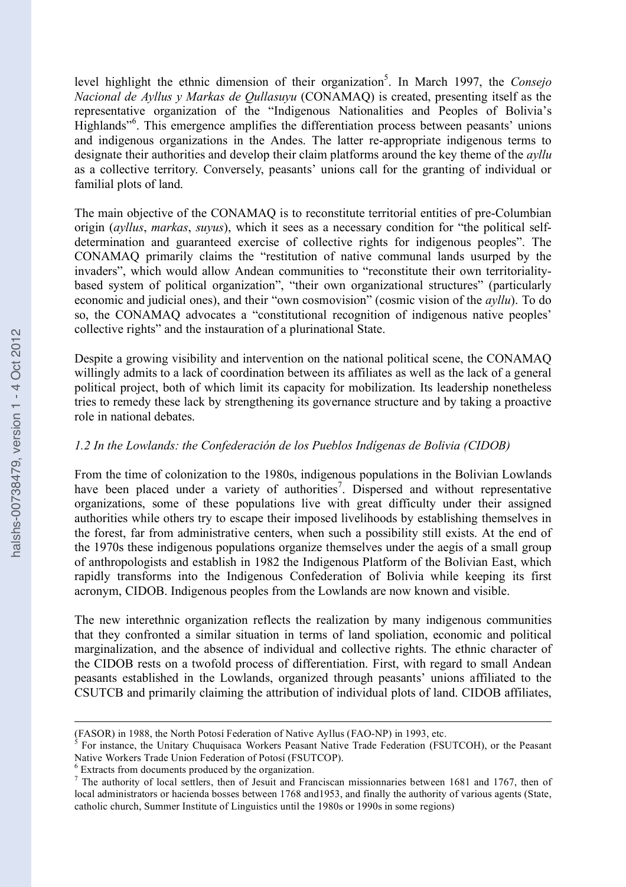level highlight the ethnic dimension of their organization<sup>5</sup>. In March 1997, the *Consejo Nacional de Ayllus y Markas de Qullasuyu* (CONAMAQ) is created, presenting itself as the representative organization of the "Indigenous Nationalities and Peoples of Bolivia's Highlands"<sup>6</sup>. This emergence amplifies the differentiation process between peasants' unions and indigenous organizations in the Andes. The latter re-appropriate indigenous terms to designate their authorities and develop their claim platforms around the key theme of the *ayllu* as a collective territory. Conversely, peasants' unions call for the granting of individual or familial plots of land.

The main objective of the CONAMAQ is to reconstitute territorial entities of pre-Columbian origin (*ayllus*, *markas*, *suyus*), which it sees as a necessary condition for "the political selfdetermination and guaranteed exercise of collective rights for indigenous peoples". The CONAMAQ primarily claims the "restitution of native communal lands usurped by the invaders", which would allow Andean communities to "reconstitute their own territorialitybased system of political organization", "their own organizational structures" (particularly economic and judicial ones), and their "own cosmovision" (cosmic vision of the *ayllu*). To do so, the CONAMAQ advocates a "constitutional recognition of indigenous native peoples' collective rights" and the instauration of a plurinational State.

Despite a growing visibility and intervention on the national political scene, the CONAMAQ willingly admits to a lack of coordination between its affiliates as well as the lack of a general political project, both of which limit its capacity for mobilization. Its leadership nonetheless tries to remedy these lack by strengthening its governance structure and by taking a proactive role in national debates.

# *1.2 In the Lowlands: the Confederación de los Pueblos Indígenas de Bolivia (CIDOB)*

From the time of colonization to the 1980s, indigenous populations in the Bolivian Lowlands have been placed under a variety of authorities<sup>7</sup>. Dispersed and without representative organizations, some of these populations live with great difficulty under their assigned authorities while others try to escape their imposed livelihoods by establishing themselves in the forest, far from administrative centers, when such a possibility still exists. At the end of the 1970s these indigenous populations organize themselves under the aegis of a small group of anthropologists and establish in 1982 the Indigenous Platform of the Bolivian East, which rapidly transforms into the Indigenous Confederation of Bolivia while keeping its first acronym, CIDOB. Indigenous peoples from the Lowlands are now known and visible.

The new interethnic organization reflects the realization by many indigenous communities that they confronted a similar situation in terms of land spoliation, economic and political marginalization, and the absence of individual and collective rights. The ethnic character of the CIDOB rests on a twofold process of differentiation. First, with regard to small Andean peasants established in the Lowlands, organized through peasants' unions affiliated to the CSUTCB and primarily claiming the attribution of individual plots of land. CIDOB affiliates,

<sup>(</sup>FASOR) in 1988, the North Potosí Federation of Native Ayllus (FAO-NP) in 1993, etc.<br><sup>5</sup> For instance, the Unitary Chuquisaca Workers Peasant Native Trade Federation (FSUTCOH), or the Peasant Native Workers Trade Union Fed

 $\frac{6}{7}$  Extracts from documents produced by the organization.<br>The authority of local settlers, then of Jesuit and Franciscan missionnaries between 1681 and 1767, then of local administrators or hacienda bosses between 1768 and1953, and finally the authority of various agents (State, catholic church, Summer Institute of Linguistics until the 1980s or 1990s in some regions)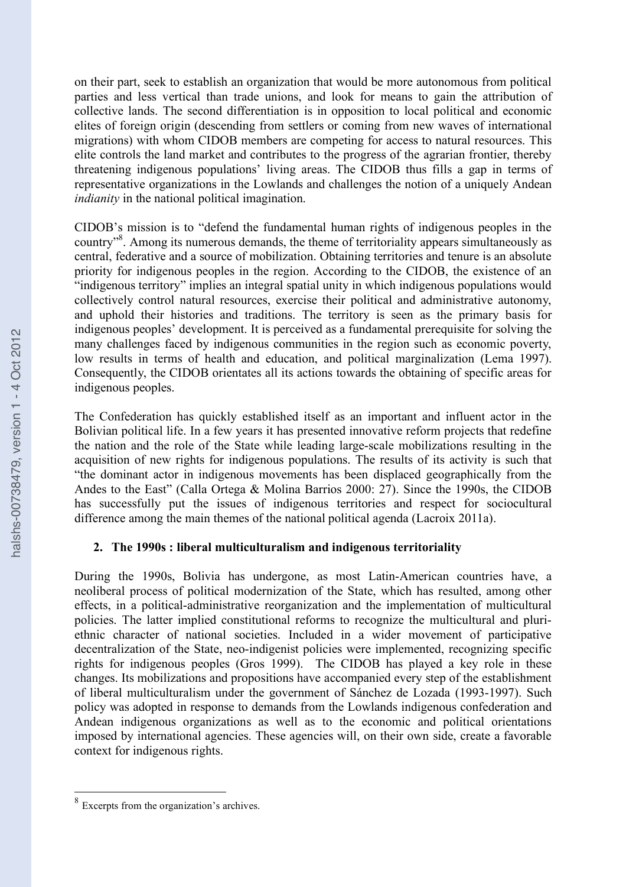on their part, seek to establish an organization that would be more autonomous from political parties and less vertical than trade unions, and look for means to gain the attribution of collective lands. The second differentiation is in opposition to local political and economic elites of foreign origin (descending from settlers or coming from new waves of international migrations) with whom CIDOB members are competing for access to natural resources. This elite controls the land market and contributes to the progress of the agrarian frontier, thereby threatening indigenous populations' living areas. The CIDOB thus fills a gap in terms of representative organizations in the Lowlands and challenges the notion of a uniquely Andean *indianity* in the national political imagination.

CIDOB's mission is to "defend the fundamental human rights of indigenous peoples in the country"<sup>8</sup>. Among its numerous demands, the theme of territoriality appears simultaneously as central, federative and a source of mobilization. Obtaining territories and tenure is an absolute priority for indigenous peoples in the region. According to the CIDOB, the existence of an "indigenous territory" implies an integral spatial unity in which indigenous populations would collectively control natural resources, exercise their political and administrative autonomy, and uphold their histories and traditions. The territory is seen as the primary basis for indigenous peoples' development. It is perceived as a fundamental prerequisite for solving the many challenges faced by indigenous communities in the region such as economic poverty, low results in terms of health and education, and political marginalization (Lema 1997). Consequently, the CIDOB orientates all its actions towards the obtaining of specific areas for indigenous peoples.

The Confederation has quickly established itself as an important and influent actor in the Bolivian political life. In a few years it has presented innovative reform projects that redefine the nation and the role of the State while leading large-scale mobilizations resulting in the acquisition of new rights for indigenous populations. The results of its activity is such that "the dominant actor in indigenous movements has been displaced geographically from the Andes to the East" (Calla Ortega & Molina Barrios 2000: 27). Since the 1990s, the CIDOB has successfully put the issues of indigenous territories and respect for sociocultural difference among the main themes of the national political agenda (Lacroix 2011a).

# **2. The 1990s : liberal multiculturalism and indigenous territoriality**

During the 1990s, Bolivia has undergone, as most Latin-American countries have, a neoliberal process of political modernization of the State, which has resulted, among other effects, in a political-administrative reorganization and the implementation of multicultural policies. The latter implied constitutional reforms to recognize the multicultural and pluriethnic character of national societies. Included in a wider movement of participative decentralization of the State, neo-indigenist policies were implemented, recognizing specific rights for indigenous peoples (Gros 1999). The CIDOB has played a key role in these changes. Its mobilizations and propositions have accompanied every step of the establishment of liberal multiculturalism under the government of Sánchez de Lozada (1993-1997). Such policy was adopted in response to demands from the Lowlands indigenous confederation and Andean indigenous organizations as well as to the economic and political orientations imposed by international agencies. These agencies will, on their own side, create a favorable context for indigenous rights.

 <sup>8</sup> Excerpts from the organization's archives.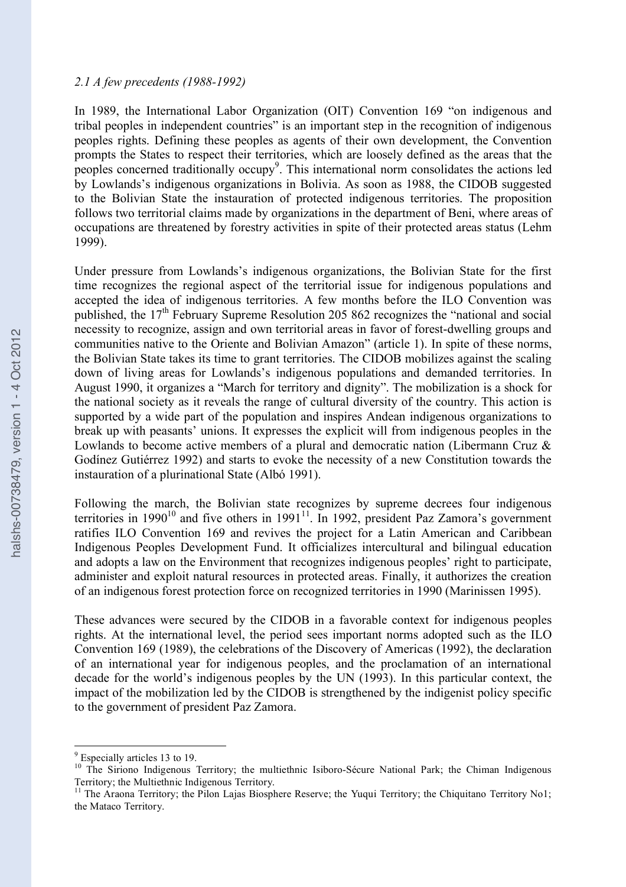#### *2.1 A few precedents (1988-1992)*

In 1989, the International Labor Organization (OIT) Convention 169 "on indigenous and tribal peoples in independent countries" is an important step in the recognition of indigenous peoples rights. Defining these peoples as agents of their own development, the Convention prompts the States to respect their territories, which are loosely defined as the areas that the peoples concerned traditionally occupy<sup>9</sup>. This international norm consolidates the actions led by Lowlands's indigenous organizations in Bolivia. As soon as 1988, the CIDOB suggested to the Bolivian State the instauration of protected indigenous territories. The proposition follows two territorial claims made by organizations in the department of Beni, where areas of occupations are threatened by forestry activities in spite of their protected areas status (Lehm 1999).

Under pressure from Lowlands's indigenous organizations, the Bolivian State for the first time recognizes the regional aspect of the territorial issue for indigenous populations and accepted the idea of indigenous territories. A few months before the ILO Convention was published, the 17<sup>th</sup> February Supreme Resolution 205 862 recognizes the "national and social necessity to recognize, assign and own territorial areas in favor of forest-dwelling groups and communities native to the Oriente and Bolivian Amazon" (article 1). In spite of these norms, the Bolivian State takes its time to grant territories. The CIDOB mobilizes against the scaling down of living areas for Lowlands's indigenous populations and demanded territories. In August 1990, it organizes a "March for territory and dignity". The mobilization is a shock for the national society as it reveals the range of cultural diversity of the country. This action is supported by a wide part of the population and inspires Andean indigenous organizations to break up with peasants' unions. It expresses the explicit will from indigenous peoples in the Lowlands to become active members of a plural and democratic nation (Libermann Cruz & Godínez Gutiérrez 1992) and starts to evoke the necessity of a new Constitution towards the instauration of a plurinational State (Albó 1991).

Following the march, the Bolivian state recognizes by supreme decrees four indigenous territories in 1990<sup>10</sup> and five others in 1991<sup>11</sup>. In 1992, president Paz Zamora's government ratifies ILO Convention 169 and revives the project for a Latin American and Caribbean Indigenous Peoples Development Fund. It officializes intercultural and bilingual education and adopts a law on the Environment that recognizes indigenous peoples' right to participate, administer and exploit natural resources in protected areas. Finally, it authorizes the creation of an indigenous forest protection force on recognized territories in 1990 (Marinissen 1995).

These advances were secured by the CIDOB in a favorable context for indigenous peoples rights. At the international level, the period sees important norms adopted such as the ILO Convention 169 (1989), the celebrations of the Discovery of Americas (1992), the declaration of an international year for indigenous peoples, and the proclamation of an international decade for the world's indigenous peoples by the UN (1993). In this particular context, the impact of the mobilization led by the CIDOB is strengthened by the indigenist policy specific to the government of president Paz Zamora.

 $9$  Especially articles 13 to 19.<br><sup>10</sup> The Siriono Indigenous Territory; the multiethnic Isiboro-Sécure National Park; the Chiman Indigenous Territory; the Multiethnic Indigenous Territory.<br><sup>11</sup> The Araona Territory; the Pilon Lajas Biosphere Reserve; the Yuqui Territory; the Chiquitano Territory No1;

the Mataco Territory.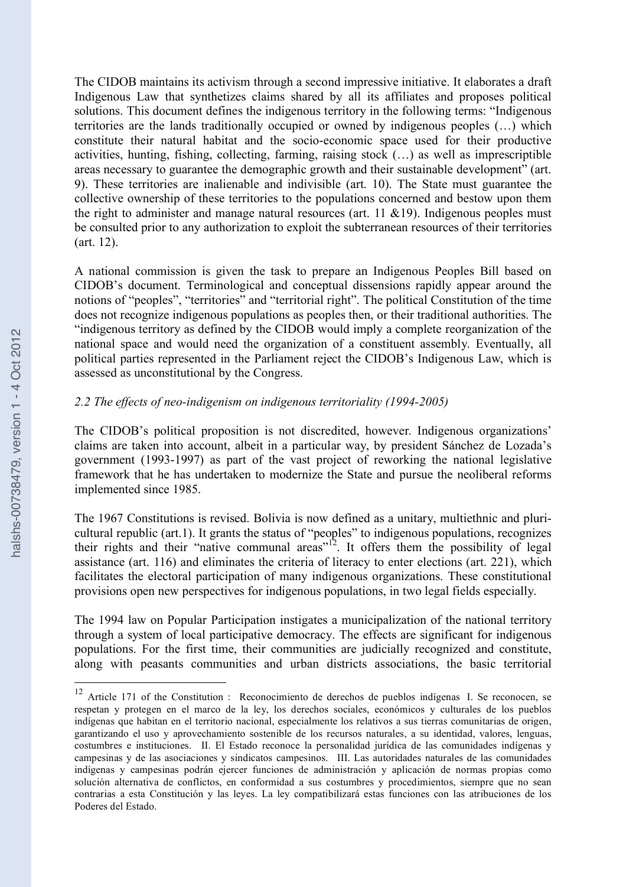The CIDOB maintains its activism through a second impressive initiative. It elaborates a draft Indigenous Law that synthetizes claims shared by all its affiliates and proposes political solutions. This document defines the indigenous territory in the following terms: "Indigenous territories are the lands traditionally occupied or owned by indigenous peoples (…) which constitute their natural habitat and the socio-economic space used for their productive activities, hunting, fishing, collecting, farming, raising stock (…) as well as imprescriptible areas necessary to guarantee the demographic growth and their sustainable development" (art. 9). These territories are inalienable and indivisible (art. 10). The State must guarantee the collective ownership of these territories to the populations concerned and bestow upon them the right to administer and manage natural resources (art.  $11 \& 19$ ). Indigenous peoples must be consulted prior to any authorization to exploit the subterranean resources of their territories (art. 12).

A national commission is given the task to prepare an Indigenous Peoples Bill based on CIDOB's document. Terminological and conceptual dissensions rapidly appear around the notions of "peoples", "territories" and "territorial right". The political Constitution of the time does not recognize indigenous populations as peoples then, or their traditional authorities. The "indigenous territory as defined by the CIDOB would imply a complete reorganization of the national space and would need the organization of a constituent assembly. Eventually, all political parties represented in the Parliament reject the CIDOB's Indigenous Law, which is assessed as unconstitutional by the Congress.

# *2.2 The effects of neo-indigenism on indigenous territoriality (1994-2005)*

The CIDOB's political proposition is not discredited, however. Indigenous organizations' claims are taken into account, albeit in a particular way, by president Sánchez de Lozada's government (1993-1997) as part of the vast project of reworking the national legislative framework that he has undertaken to modernize the State and pursue the neoliberal reforms implemented since 1985.

The 1967 Constitutions is revised. Bolivia is now defined as a unitary, multiethnic and pluricultural republic (art.1). It grants the status of "peoples" to indigenous populations, recognizes their rights and their "native communal areas"<sup>12</sup>. It offers them the possibility of legal assistance (art. 116) and eliminates the criteria of literacy to enter elections (art. 221), which facilitates the electoral participation of many indigenous organizations. These constitutional provisions open new perspectives for indigenous populations, in two legal fields especially.

The 1994 law on Popular Participation instigates a municipalization of the national territory through a system of local participative democracy. The effects are significant for indigenous populations. For the first time, their communities are judicially recognized and constitute, along with peasants communities and urban districts associations, the basic territorial

<sup>&</sup>lt;sup>12</sup> Article 171 of the Constitution : Reconocimiento de derechos de pueblos indígenas I. Se reconocen, se respetan y protegen en el marco de la ley, los derechos sociales, económicos y culturales de los pueblos indígenas que habitan en el territorio nacional, especialmente los relativos a sus tierras comunitarias de origen, garantizando el uso y aprovechamiento sostenible de los recursos naturales, a su identidad, valores, lenguas, costumbres e instituciones. II. El Estado reconoce la personalidad jurídica de las comunidades indígenas y campesinas y de las asociaciones y sindicatos campesinos. III. Las autoridades naturales de las comunidades indígenas y campesinas podrán ejercer funciones de administración y aplicación de normas propias como solución alternativa de conflictos, en conformidad a sus costumbres y procedimientos, siempre que no sean contrarias a esta Constitución y las leyes. La ley compatibilizará estas funciones con las atribuciones de los Poderes del Estado.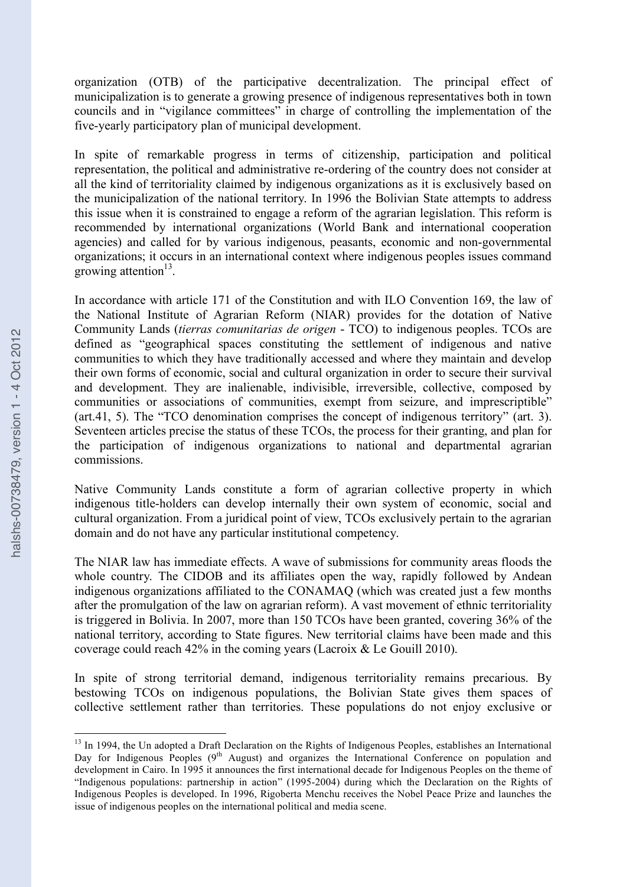organization (OTB) of the participative decentralization. The principal effect of municipalization is to generate a growing presence of indigenous representatives both in town councils and in "vigilance committees" in charge of controlling the implementation of the five-yearly participatory plan of municipal development.

In spite of remarkable progress in terms of citizenship, participation and political representation, the political and administrative re-ordering of the country does not consider at all the kind of territoriality claimed by indigenous organizations as it is exclusively based on the municipalization of the national territory. In 1996 the Bolivian State attempts to address this issue when it is constrained to engage a reform of the agrarian legislation. This reform is recommended by international organizations (World Bank and international cooperation agencies) and called for by various indigenous, peasants, economic and non-governmental organizations; it occurs in an international context where indigenous peoples issues command growing attention<sup>13</sup>.

In accordance with article 171 of the Constitution and with ILO Convention 169, the law of the National Institute of Agrarian Reform (NIAR) provides for the dotation of Native Community Lands (*tierras comunitarias de origen* - TCO) to indigenous peoples. TCOs are defined as "geographical spaces constituting the settlement of indigenous and native communities to which they have traditionally accessed and where they maintain and develop their own forms of economic, social and cultural organization in order to secure their survival and development. They are inalienable, indivisible, irreversible, collective, composed by communities or associations of communities, exempt from seizure, and imprescriptible" (art.41, 5). The "TCO denomination comprises the concept of indigenous territory" (art. 3). Seventeen articles precise the status of these TCOs, the process for their granting, and plan for the participation of indigenous organizations to national and departmental agrarian commissions.

Native Community Lands constitute a form of agrarian collective property in which indigenous title-holders can develop internally their own system of economic, social and cultural organization. From a juridical point of view, TCOs exclusively pertain to the agrarian domain and do not have any particular institutional competency.

The NIAR law has immediate effects. A wave of submissions for community areas floods the whole country. The CIDOB and its affiliates open the way, rapidly followed by Andean indigenous organizations affiliated to the CONAMAQ (which was created just a few months after the promulgation of the law on agrarian reform). A vast movement of ethnic territoriality is triggered in Bolivia. In 2007, more than 150 TCOs have been granted, covering 36% of the national territory, according to State figures. New territorial claims have been made and this coverage could reach 42% in the coming years (Lacroix & Le Gouill 2010).

In spite of strong territorial demand, indigenous territoriality remains precarious. By bestowing TCOs on indigenous populations, the Bolivian State gives them spaces of collective settlement rather than territories. These populations do not enjoy exclusive or

<sup>&</sup>lt;sup>13</sup> In 1994, the Un adopted a Draft Declaration on the Rights of Indigenous Peoples, establishes an International Day for Indigenous Peoples (9<sup>th</sup> August) and organizes the International Conference on population and development in Cairo. In 1995 it announces the first international decade for Indigenous Peoples on the theme of "Indigenous populations: partnership in action" (1995-2004) during which the Declaration on the Rights of Indigenous Peoples is developed. In 1996, Rigoberta Menchu receives the Nobel Peace Prize and launches the issue of indigenous peoples on the international political and media scene.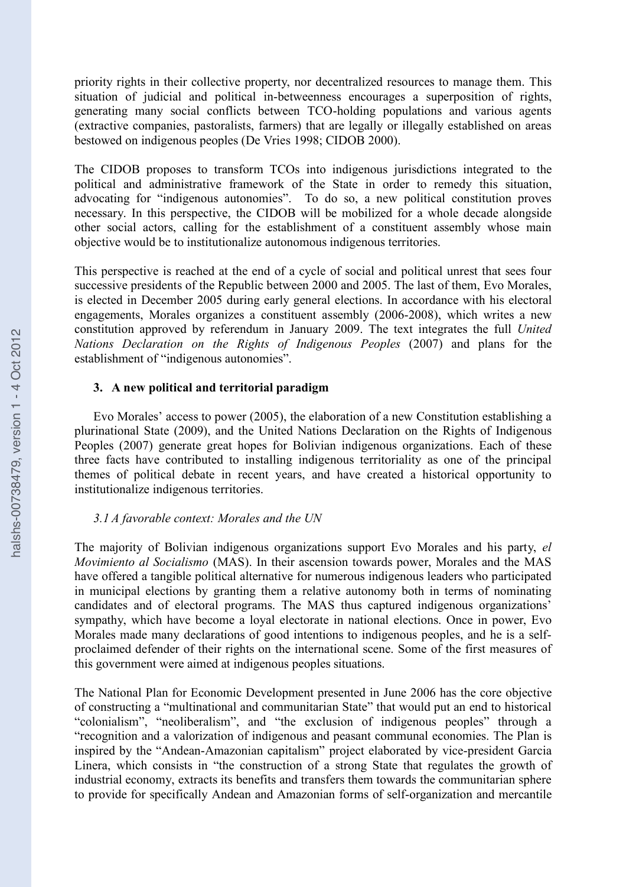priority rights in their collective property, nor decentralized resources to manage them. This situation of judicial and political in-betweenness encourages a superposition of rights, generating many social conflicts between TCO-holding populations and various agents (extractive companies, pastoralists, farmers) that are legally or illegally established on areas bestowed on indigenous peoples (De Vries 1998; CIDOB 2000).

The CIDOB proposes to transform TCOs into indigenous jurisdictions integrated to the political and administrative framework of the State in order to remedy this situation, advocating for "indigenous autonomies". To do so, a new political constitution proves necessary. In this perspective, the CIDOB will be mobilized for a whole decade alongside other social actors, calling for the establishment of a constituent assembly whose main objective would be to institutionalize autonomous indigenous territories.

This perspective is reached at the end of a cycle of social and political unrest that sees four successive presidents of the Republic between 2000 and 2005. The last of them, Evo Morales, is elected in December 2005 during early general elections. In accordance with his electoral engagements, Morales organizes a constituent assembly (2006-2008), which writes a new constitution approved by referendum in January 2009. The text integrates the full *United Nations Declaration on the Rights of Indigenous Peoples* (2007) and plans for the establishment of "indigenous autonomies".

## **3. A new political and territorial paradigm**

Evo Morales' access to power (2005), the elaboration of a new Constitution establishing a plurinational State (2009), and the United Nations Declaration on the Rights of Indigenous Peoples (2007) generate great hopes for Bolivian indigenous organizations. Each of these three facts have contributed to installing indigenous territoriality as one of the principal themes of political debate in recent years, and have created a historical opportunity to institutionalize indigenous territories.

## *3.1 A favorable context: Morales and the UN*

The majority of Bolivian indigenous organizations support Evo Morales and his party, *el Movimiento al Socialismo* (MAS). In their ascension towards power, Morales and the MAS have offered a tangible political alternative for numerous indigenous leaders who participated in municipal elections by granting them a relative autonomy both in terms of nominating candidates and of electoral programs. The MAS thus captured indigenous organizations' sympathy, which have become a loyal electorate in national elections. Once in power, Evo Morales made many declarations of good intentions to indigenous peoples, and he is a selfproclaimed defender of their rights on the international scene. Some of the first measures of this government were aimed at indigenous peoples situations.

The National Plan for Economic Development presented in June 2006 has the core objective of constructing a "multinational and communitarian State" that would put an end to historical "colonialism", "neoliberalism", and "the exclusion of indigenous peoples" through a "recognition and a valorization of indigenous and peasant communal economies. The Plan is inspired by the "Andean-Amazonian capitalism" project elaborated by vice-president Garcia Linera, which consists in "the construction of a strong State that regulates the growth of industrial economy, extracts its benefits and transfers them towards the communitarian sphere to provide for specifically Andean and Amazonian forms of self-organization and mercantile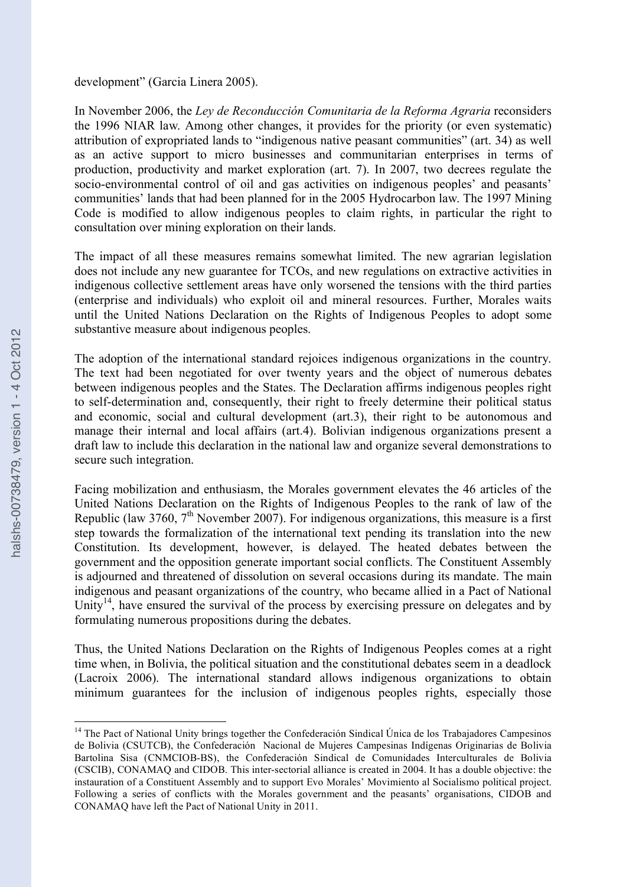#### development" (Garcia Linera 2005).

In November 2006, the *Ley de Reconducción Comunitaria de la Reforma Agraria* reconsiders the 1996 NIAR law. Among other changes, it provides for the priority (or even systematic) attribution of expropriated lands to "indigenous native peasant communities" (art. 34) as well as an active support to micro businesses and communitarian enterprises in terms of production, productivity and market exploration (art. 7). In 2007, two decrees regulate the socio-environmental control of oil and gas activities on indigenous peoples' and peasants' communities' lands that had been planned for in the 2005 Hydrocarbon law. The 1997 Mining Code is modified to allow indigenous peoples to claim rights, in particular the right to consultation over mining exploration on their lands.

The impact of all these measures remains somewhat limited. The new agrarian legislation does not include any new guarantee for TCOs, and new regulations on extractive activities in indigenous collective settlement areas have only worsened the tensions with the third parties (enterprise and individuals) who exploit oil and mineral resources. Further, Morales waits until the United Nations Declaration on the Rights of Indigenous Peoples to adopt some substantive measure about indigenous peoples.

The adoption of the international standard rejoices indigenous organizations in the country. The text had been negotiated for over twenty years and the object of numerous debates between indigenous peoples and the States. The Declaration affirms indigenous peoples right to self-determination and, consequently, their right to freely determine their political status and economic, social and cultural development (art.3), their right to be autonomous and manage their internal and local affairs (art.4). Bolivian indigenous organizations present a draft law to include this declaration in the national law and organize several demonstrations to secure such integration.

Facing mobilization and enthusiasm, the Morales government elevates the 46 articles of the United Nations Declaration on the Rights of Indigenous Peoples to the rank of law of the Republic (law 3760,  $7<sup>th</sup>$  November 2007). For indigenous organizations, this measure is a first step towards the formalization of the international text pending its translation into the new Constitution. Its development, however, is delayed. The heated debates between the government and the opposition generate important social conflicts. The Constituent Assembly is adjourned and threatened of dissolution on several occasions during its mandate. The main indigenous and peasant organizations of the country, who became allied in a Pact of National Unity<sup>14</sup>, have ensured the survival of the process by exercising pressure on delegates and by formulating numerous propositions during the debates.

Thus, the United Nations Declaration on the Rights of Indigenous Peoples comes at a right time when, in Bolivia, the political situation and the constitutional debates seem in a deadlock (Lacroix 2006). The international standard allows indigenous organizations to obtain minimum guarantees for the inclusion of indigenous peoples rights, especially those

<sup>&</sup>lt;sup>14</sup> The Pact of National Unity brings together the Confederación Sindical Única de los Trabajadores Campesinos de Bolivia (CSUTCB), the Confederación Nacional de Mujeres Campesinas Indígenas Originarias de Bolivia Bartolina Sisa (CNMCIOB-BS), the Confederación Sindical de Comunidades Interculturales de Bolivia (CSCIB), CONAMAQ and CIDOB. This inter-sectorial alliance is created in 2004. It has a double objective: the instauration of a Constituent Assembly and to support Evo Morales' Movimiento al Socialismo political project. Following a series of conflicts with the Morales government and the peasants' organisations, CIDOB and CONAMAQ have left the Pact of National Unity in 2011.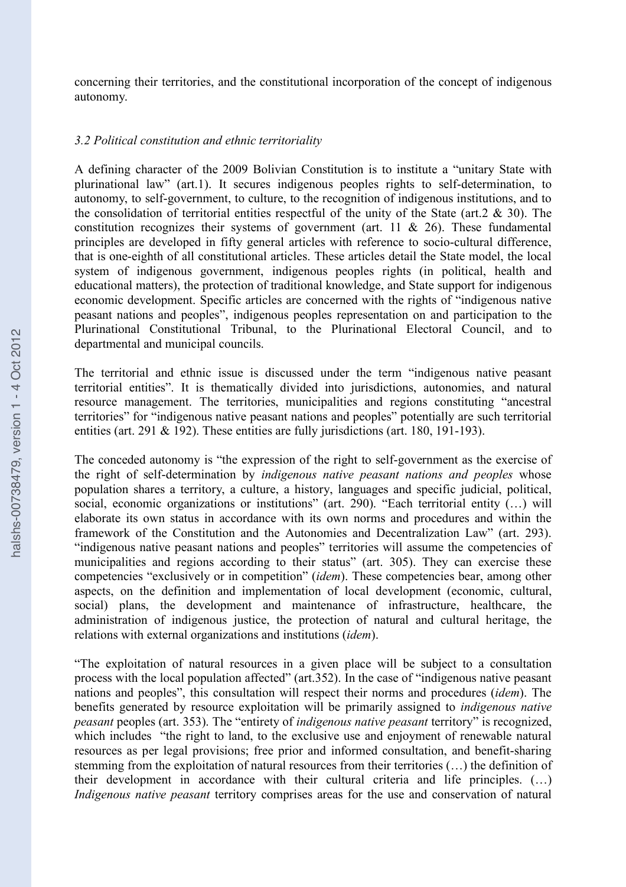concerning their territories, and the constitutional incorporation of the concept of indigenous autonomy.

#### *3.2 Political constitution and ethnic territoriality*

A defining character of the 2009 Bolivian Constitution is to institute a "unitary State with plurinational law" (art.1). It secures indigenous peoples rights to self-determination, to autonomy, to self-government, to culture, to the recognition of indigenous institutions, and to the consolidation of territorial entities respectful of the unity of the State (art.  $2 \& 30$ ). The constitution recognizes their systems of government (art. 11 & 26). These fundamental principles are developed in fifty general articles with reference to socio-cultural difference, that is one-eighth of all constitutional articles. These articles detail the State model, the local system of indigenous government, indigenous peoples rights (in political, health and educational matters), the protection of traditional knowledge, and State support for indigenous economic development. Specific articles are concerned with the rights of "indigenous native peasant nations and peoples", indigenous peoples representation on and participation to the Plurinational Constitutional Tribunal, to the Plurinational Electoral Council, and to departmental and municipal councils.

The territorial and ethnic issue is discussed under the term "indigenous native peasant territorial entities". It is thematically divided into jurisdictions, autonomies, and natural resource management. The territories, municipalities and regions constituting "ancestral territories" for "indigenous native peasant nations and peoples" potentially are such territorial entities (art. 291 & 192). These entities are fully jurisdictions (art. 180, 191-193).

The conceded autonomy is "the expression of the right to self-government as the exercise of the right of self-determination by *indigenous native peasant nations and peoples* whose population shares a territory, a culture, a history, languages and specific judicial, political, social, economic organizations or institutions" (art. 290). "Each territorial entity (...) will elaborate its own status in accordance with its own norms and procedures and within the framework of the Constitution and the Autonomies and Decentralization Law" (art. 293). "indigenous native peasant nations and peoples" territories will assume the competencies of municipalities and regions according to their status" (art. 305). They can exercise these competencies "exclusively or in competition" (*idem*). These competencies bear, among other aspects, on the definition and implementation of local development (economic, cultural, social) plans, the development and maintenance of infrastructure, healthcare, the administration of indigenous justice, the protection of natural and cultural heritage, the relations with external organizations and institutions (*idem*).

"The exploitation of natural resources in a given place will be subject to a consultation process with the local population affected" (art.352). In the case of "indigenous native peasant nations and peoples", this consultation will respect their norms and procedures (*idem*). The benefits generated by resource exploitation will be primarily assigned to *indigenous native peasant* peoples (art. 353). The "entirety of *indigenous native peasant* territory" is recognized, which includes "the right to land, to the exclusive use and enjoyment of renewable natural resources as per legal provisions; free prior and informed consultation, and benefit-sharing stemming from the exploitation of natural resources from their territories (…) the definition of their development in accordance with their cultural criteria and life principles. (…) *Indigenous native peasant* territory comprises areas for the use and conservation of natural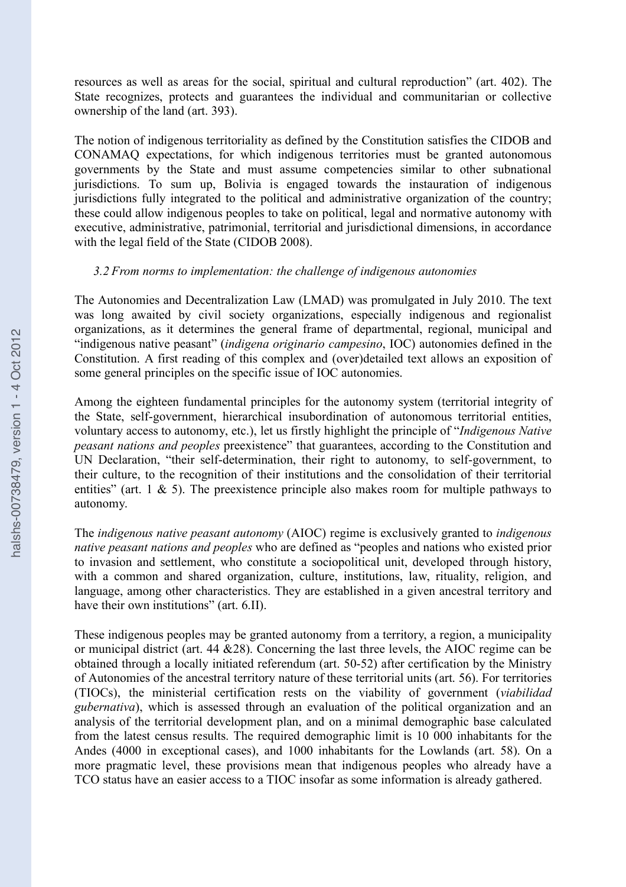resources as well as areas for the social, spiritual and cultural reproduction" (art. 402). The State recognizes, protects and guarantees the individual and communitarian or collective ownership of the land (art. 393).

The notion of indigenous territoriality as defined by the Constitution satisfies the CIDOB and CONAMAQ expectations, for which indigenous territories must be granted autonomous governments by the State and must assume competencies similar to other subnational jurisdictions. To sum up, Bolivia is engaged towards the instauration of indigenous jurisdictions fully integrated to the political and administrative organization of the country; these could allow indigenous peoples to take on political, legal and normative autonomy with executive, administrative, patrimonial, territorial and jurisdictional dimensions, in accordance with the legal field of the State (CIDOB 2008).

## *3.2 From norms to implementation: the challenge of indigenous autonomies*

The Autonomies and Decentralization Law (LMAD) was promulgated in July 2010. The text was long awaited by civil society organizations, especially indigenous and regionalist organizations, as it determines the general frame of departmental, regional, municipal and "indigenous native peasant" (*indigena originario campesino*, IOC) autonomies defined in the Constitution. A first reading of this complex and (over)detailed text allows an exposition of some general principles on the specific issue of IOC autonomies.

Among the eighteen fundamental principles for the autonomy system (territorial integrity of the State, self-government, hierarchical insubordination of autonomous territorial entities, voluntary access to autonomy, etc.), let us firstly highlight the principle of "*Indigenous Native peasant nations and peoples* preexistence" that guarantees, according to the Constitution and UN Declaration, "their self-determination, their right to autonomy, to self-government, to their culture, to the recognition of their institutions and the consolidation of their territorial entities" (art. 1  $\&$  5). The preexistence principle also makes room for multiple pathways to autonomy.

The *indigenous native peasant autonomy* (AIOC) regime is exclusively granted to *indigenous native peasant nations and peoples* who are defined as "peoples and nations who existed prior to invasion and settlement, who constitute a sociopolitical unit, developed through history, with a common and shared organization, culture, institutions, law, rituality, religion, and language, among other characteristics. They are established in a given ancestral territory and have their own institutions" (art. 6.II).

These indigenous peoples may be granted autonomy from a territory, a region, a municipality or municipal district (art. 44 &28). Concerning the last three levels, the AIOC regime can be obtained through a locally initiated referendum (art. 50-52) after certification by the Ministry of Autonomies of the ancestral territory nature of these territorial units (art. 56). For territories (TIOCs), the ministerial certification rests on the viability of government (*viabilidad gubernativa*), which is assessed through an evaluation of the political organization and an analysis of the territorial development plan, and on a minimal demographic base calculated from the latest census results. The required demographic limit is 10 000 inhabitants for the Andes (4000 in exceptional cases), and 1000 inhabitants for the Lowlands (art. 58). On a more pragmatic level, these provisions mean that indigenous peoples who already have a TCO status have an easier access to a TIOC insofar as some information is already gathered.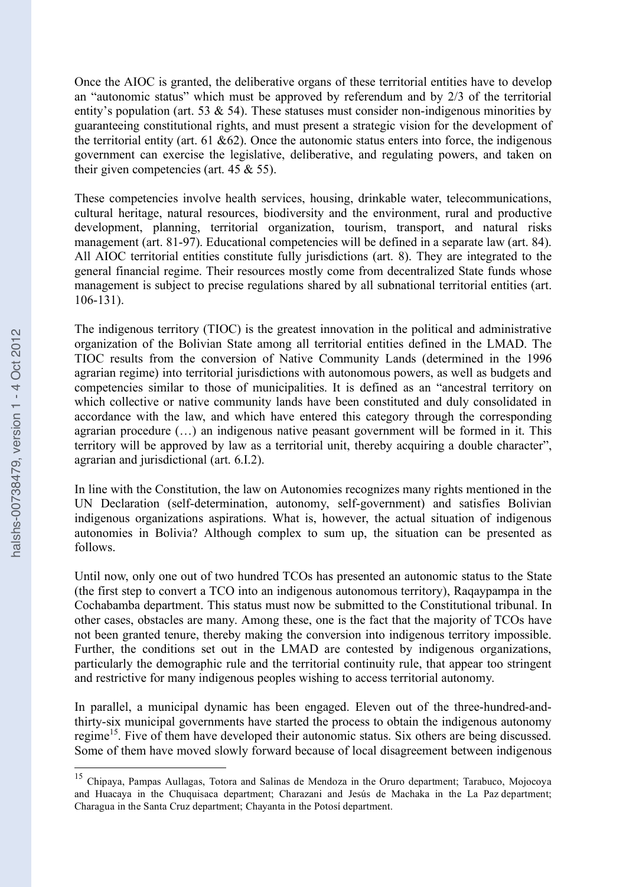Once the AIOC is granted, the deliberative organs of these territorial entities have to develop an "autonomic status" which must be approved by referendum and by 2/3 of the territorial entity's population (art. 53  $\&$  54). These statuses must consider non-indigenous minorities by guaranteeing constitutional rights, and must present a strategic vision for the development of the territorial entity (art.  $61 \& 62$ ). Once the autonomic status enters into force, the indigenous government can exercise the legislative, deliberative, and regulating powers, and taken on their given competencies (art.  $45 \& 55$ ).

These competencies involve health services, housing, drinkable water, telecommunications, cultural heritage, natural resources, biodiversity and the environment, rural and productive development, planning, territorial organization, tourism, transport, and natural risks management (art. 81-97). Educational competencies will be defined in a separate law (art. 84). All AIOC territorial entities constitute fully jurisdictions (art. 8). They are integrated to the general financial regime. Their resources mostly come from decentralized State funds whose management is subject to precise regulations shared by all subnational territorial entities (art. 106-131).

The indigenous territory (TIOC) is the greatest innovation in the political and administrative organization of the Bolivian State among all territorial entities defined in the LMAD. The TIOC results from the conversion of Native Community Lands (determined in the 1996 agrarian regime) into territorial jurisdictions with autonomous powers, as well as budgets and competencies similar to those of municipalities. It is defined as an "ancestral territory on which collective or native community lands have been constituted and duly consolidated in accordance with the law, and which have entered this category through the corresponding agrarian procedure (…) an indigenous native peasant government will be formed in it. This territory will be approved by law as a territorial unit, thereby acquiring a double character", agrarian and jurisdictional (art. 6.I.2).

In line with the Constitution, the law on Autonomies recognizes many rights mentioned in the UN Declaration (self-determination, autonomy, self-government) and satisfies Bolivian indigenous organizations aspirations. What is, however, the actual situation of indigenous autonomies in Bolivia? Although complex to sum up, the situation can be presented as follows.

Until now, only one out of two hundred TCOs has presented an autonomic status to the State (the first step to convert a TCO into an indigenous autonomous territory), Raqaypampa in the Cochabamba department. This status must now be submitted to the Constitutional tribunal. In other cases, obstacles are many. Among these, one is the fact that the majority of TCOs have not been granted tenure, thereby making the conversion into indigenous territory impossible. Further, the conditions set out in the LMAD are contested by indigenous organizations, particularly the demographic rule and the territorial continuity rule, that appear too stringent and restrictive for many indigenous peoples wishing to access territorial autonomy.

In parallel, a municipal dynamic has been engaged. Eleven out of the three-hundred-andthirty-six municipal governments have started the process to obtain the indigenous autonomy regime<sup>15</sup>. Five of them have developed their autonomic status. Six others are being discussed. Some of them have moved slowly forward because of local disagreement between indigenous

 <sup>15</sup> Chipaya, Pampas Aullagas, Totora and Salinas de Mendoza in the Oruro department; Tarabuco, Mojocoya and Huacaya in the Chuquisaca department; Charazani and Jesús de Machaka in the La Paz department; Charagua in the Santa Cruz department; Chayanta in the Potosí department.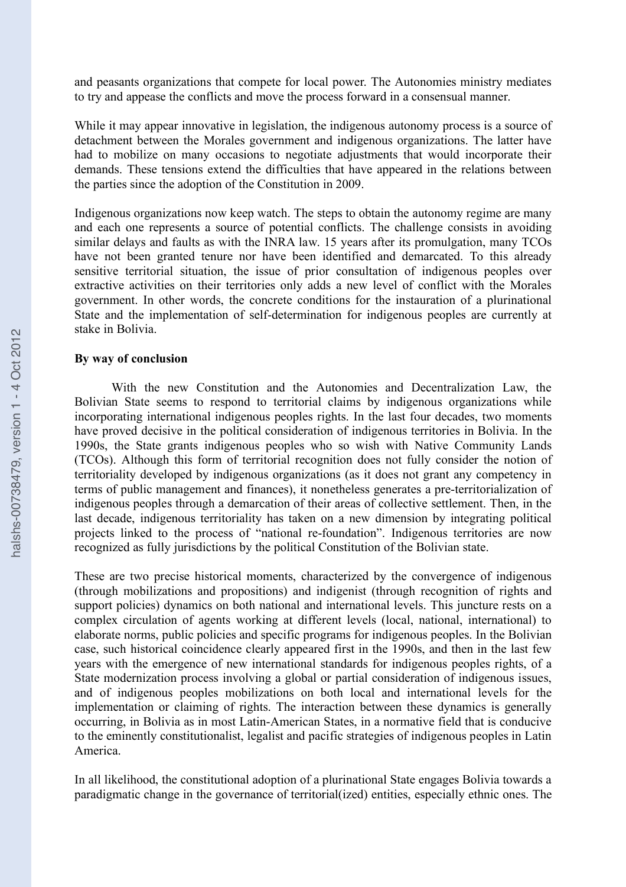and peasants organizations that compete for local power. The Autonomies ministry mediates to try and appease the conflicts and move the process forward in a consensual manner.

While it may appear innovative in legislation, the indigenous autonomy process is a source of detachment between the Morales government and indigenous organizations. The latter have had to mobilize on many occasions to negotiate adjustments that would incorporate their demands. These tensions extend the difficulties that have appeared in the relations between the parties since the adoption of the Constitution in 2009.

Indigenous organizations now keep watch. The steps to obtain the autonomy regime are many and each one represents a source of potential conflicts. The challenge consists in avoiding similar delays and faults as with the INRA law. 15 years after its promulgation, many TCOs have not been granted tenure nor have been identified and demarcated. To this already sensitive territorial situation, the issue of prior consultation of indigenous peoples over extractive activities on their territories only adds a new level of conflict with the Morales government. In other words, the concrete conditions for the instauration of a plurinational State and the implementation of self-determination for indigenous peoples are currently at stake in Bolivia.

#### **By way of conclusion**

With the new Constitution and the Autonomies and Decentralization Law, the Bolivian State seems to respond to territorial claims by indigenous organizations while incorporating international indigenous peoples rights. In the last four decades, two moments have proved decisive in the political consideration of indigenous territories in Bolivia. In the 1990s, the State grants indigenous peoples who so wish with Native Community Lands (TCOs). Although this form of territorial recognition does not fully consider the notion of territoriality developed by indigenous organizations (as it does not grant any competency in terms of public management and finances), it nonetheless generates a pre-territorialization of indigenous peoples through a demarcation of their areas of collective settlement. Then, in the last decade, indigenous territoriality has taken on a new dimension by integrating political projects linked to the process of "national re-foundation". Indigenous territories are now recognized as fully jurisdictions by the political Constitution of the Bolivian state.

These are two precise historical moments, characterized by the convergence of indigenous (through mobilizations and propositions) and indigenist (through recognition of rights and support policies) dynamics on both national and international levels. This juncture rests on a complex circulation of agents working at different levels (local, national, international) to elaborate norms, public policies and specific programs for indigenous peoples. In the Bolivian case, such historical coincidence clearly appeared first in the 1990s, and then in the last few years with the emergence of new international standards for indigenous peoples rights, of a State modernization process involving a global or partial consideration of indigenous issues, and of indigenous peoples mobilizations on both local and international levels for the implementation or claiming of rights. The interaction between these dynamics is generally occurring, in Bolivia as in most Latin-American States, in a normative field that is conducive to the eminently constitutionalist, legalist and pacific strategies of indigenous peoples in Latin America.

In all likelihood, the constitutional adoption of a plurinational State engages Bolivia towards a paradigmatic change in the governance of territorial(ized) entities, especially ethnic ones. The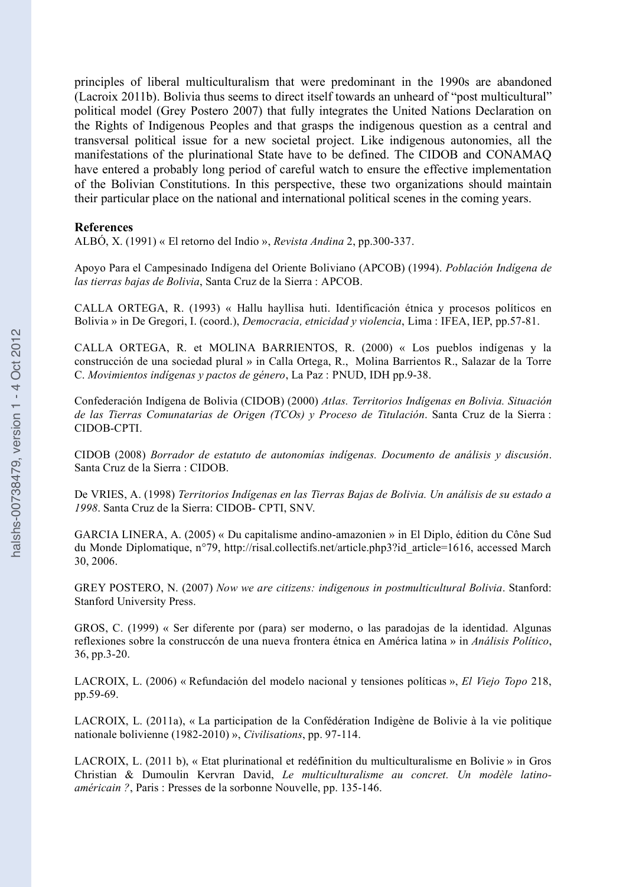principles of liberal multiculturalism that were predominant in the 1990s are abandoned (Lacroix 2011b). Bolivia thus seems to direct itself towards an unheard of "post multicultural" political model (Grey Postero 2007) that fully integrates the United Nations Declaration on the Rights of Indigenous Peoples and that grasps the indigenous question as a central and transversal political issue for a new societal project. Like indigenous autonomies, all the manifestations of the plurinational State have to be defined. The CIDOB and CONAMAQ have entered a probably long period of careful watch to ensure the effective implementation of the Bolivian Constitutions. In this perspective, these two organizations should maintain their particular place on the national and international political scenes in the coming years.

#### **References**

ALBÓ, X. (1991) « El retorno del Indio », *Revista Andina* 2, pp.300-337.

Apoyo Para el Campesinado Indígena del Oriente Boliviano (APCOB) (1994). *Población Indígena de las tierras bajas de Bolivia*, Santa Cruz de la Sierra : APCOB.

CALLA ORTEGA, R. (1993) « Hallu hayllisa huti. Identificación étnica y procesos políticos en Bolivia » in De Gregori, I. (coord.), *Democracia, etnicidad y violencia*, Lima : IFEA, IEP, pp.57-81.

CALLA ORTEGA, R. et MOLINA BARRIENTOS, R. (2000) « Los pueblos indígenas y la construcción de una sociedad plural » in Calla Ortega, R., Molina Barrientos R., Salazar de la Torre C. *Movimientos indígenas y pactos de género*, La Paz : PNUD, IDH pp.9-38.

Confederación Indígena de Bolivia (CIDOB) (2000) *Atlas. Territorios Indígenas en Bolivia. Situación de las Tierras Comunatarias de Origen (TCOs) y Proceso de Titulación*. Santa Cruz de la Sierra : CIDOB-CPTI.

CIDOB (2008) *Borrador de estatuto de autonomías indígenas. Documento de análisis y discusión*. Santa Cruz de la Sierra : CIDOB.

De VRIES, A. (1998) *Territorios Indígenas en las Tierras Bajas de Bolivia. Un análisis de su estado a 1998*. Santa Cruz de la Sierra: CIDOB- CPTI, SNV.

GARCIA LINERA, A. (2005) « Du capitalisme andino-amazonien » in El Diplo, édition du Cône Sud du Monde Diplomatique, n°79, http://risal.collectifs.net/article.php3?id\_article=1616, accessed March 30, 2006.

GREY POSTERO, N. (2007) *Now we are citizens: indigenous in postmulticultural Bolivia*. Stanford: Stanford University Press.

GROS, C. (1999) « Ser diferente por (para) ser moderno, o las paradojas de la identidad. Algunas reflexiones sobre la construccón de una nueva frontera étnica en América latina » in *Análisis Político*, 36, pp.3-20.

LACROIX, L. (2006) « Refundación del modelo nacional y tensiones políticas », *El Viejo Topo* 218, pp.59-69.

LACROIX, L. (2011a), « La participation de la Confédération Indigène de Bolivie à la vie politique nationale bolivienne (1982-2010) », *Civilisations*, pp. 97-114.

LACROIX, L. (2011 b), « Etat plurinational et redéfinition du multiculturalisme en Bolivie » in Gros Christian & Dumoulin Kervran David, *Le multiculturalisme au concret. Un modèle latinoaméricain ?*, Paris : Presses de la sorbonne Nouvelle, pp. 135-146.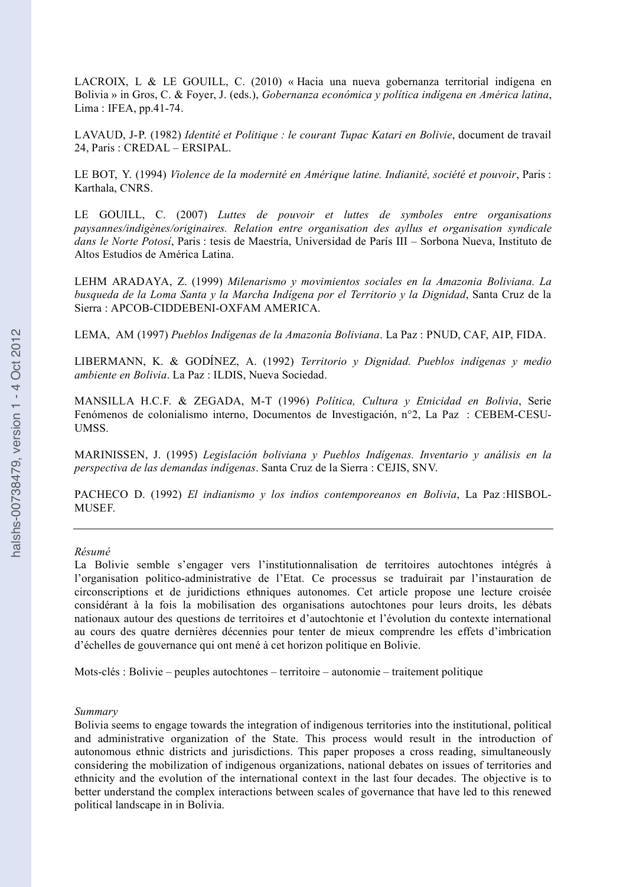LACROIX, L & LE GOUILL, C. (2010) « Hacia una nueva gobernanza territorial indígena en Bolivia » in Gros, C. & Foyer, J. (eds.), *Gobernanza económica y política indígena en América latina*, Lima : IFEA, pp.41-74.

LAVAUD, J-P. (1982) *Identité et Politique : le courant Tupac Katari en Bolivie*, document de travail 24, Paris : CREDAL – ERSIPAL.

LE BOT, Y. (1994) *Violence de la modernité en Amérique latine. Indianité, société et pouvoir*, Paris : Karthala, CNRS.

LE GOUILL, C. (2007) *Luttes de pouvoir et luttes de symboles entre organisations paysannes/indigènes/originaires. Relation entre organisation des ayllus et organisation syndicale dans le Norte Potosí*, Paris : tesis de Maestría, Universidad de París III – Sorbona Nueva, Instituto de Altos Estudios de América Latina.

LEHM ARADAYA, Z. (1999) *Milenarismo y movimientos sociales en la Amazonia Boliviana. La busqueda de la Loma Santa y la Marcha Indígena por el Territorio y la Dignidad*, Santa Cruz de la Sierra : APCOB-CIDDEBENI-OXFAM AMERICA.

LEMA, AM (1997) *Pueblos Indígenas de la Amazonía Boliviana*. La Paz : PNUD, CAF, AIP, FIDA.

LIBERMANN, K. & GODÍNEZ, A. (1992) *Territorio y Dignidad. Pueblos indígenas y medio ambiente en Bolivia*. La Paz : ILDIS, Nueva Sociedad.

MANSILLA H.C.F. & ZEGADA, M-T (1996) *Política, Cultura y Etnicidad en Bolivia*, Serie Fenómenos de colonialismo interno, Documentos de Investigación, n°2, La Paz : CEBEM-CESU-UMSS.

MARINISSEN, J. (1995) *Legislación boliviana y Pueblos Indígenas. Inventario y análisis en la perspectiva de las demandas indígenas*. Santa Cruz de la Sierra : CEJIS, SNV.

PACHECO D. (1992) *El indianismo y los indios contemporeanos en Bolivia*, La Paz :HISBOL-MUSEF.

#### *Résumé*

La Bolivie semble s'engager vers l'institutionnalisation de territoires autochtones intégrés à l'organisation politico-administrative de l'Etat. Ce processus se traduirait par l'instauration de circonscriptions et de juridictions ethniques autonomes. Cet article propose une lecture croisée considérant à la fois la mobilisation des organisations autochtones pour leurs droits, les débats nationaux autour des questions de territoires et d'autochtonie et l'évolution du contexte international au cours des quatre dernières décennies pour tenter de mieux comprendre les effets d'imbrication d'échelles de gouvernance qui ont mené à cet horizon politique en Bolivie.

Mots-clés : Bolivie – peuples autochtones – territoire – autonomie – traitement politique

#### *Summary*

Bolivia seems to engage towards the integration of indigenous territories into the institutional, political and administrative organization of the State. This process would result in the introduction of autonomous ethnic districts and jurisdictions. This paper proposes a cross reading, simultaneously considering the mobilization of indigenous organizations, national debates on issues of territories and ethnicity and the evolution of the international context in the last four decades. The objective is to better understand the complex interactions between scales of governance that have led to this renewed political landscape in in Bolivia.